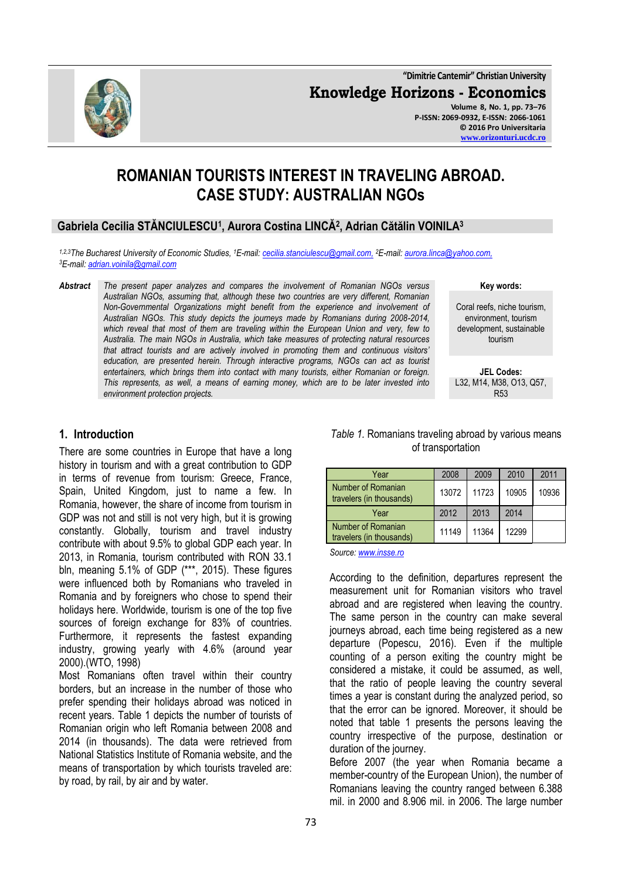**"Dimitrie Cantemir" Christian University Knowledge Horizons - Economics Volume 8, No. 1, pp. 73–76 P-ISSN: 2069-0932, E-ISSN: 2066-1061 © 2016 Pro Universitaria [www.orizonturi.ucdc.ro](http://www.orizonturi.ucdc.ro/)**

# **ROMANIAN TOURISTS INTEREST IN TRAVELING ABROAD. CASE STUDY: AUSTRALIAN NGOs**

## **Gabriela Cecilia STĂNCIULESCU<sup>1</sup> , Aurora Costina LINCĂ<sup>2</sup> , Adrian Cătălin VOINILA<sup>3</sup>**

*1,2,3The Bucharest University of Economic Studies, <sup>1</sup>E-mail[: cecilia.stanciulescu@gmail.com,](mailto:cecilia.stanciulescu@gmail.com) <sup>2</sup>E-mail[: aurora.linca@yahoo.com,](mailto:aurora.linca@yahoo.com) <sup>3</sup>E-mail[: adrian.voinila@gmail.com](mailto:adrian.voinila@gmail.com)*

*Abstract The present paper analyzes and compares the involvement of Romanian NGOs versus Australian NGOs, assuming that, although these two countries are very different, Romanian Non-Governmental Organizations might benefit from the experience and involvement of Australian NGOs. This study depicts the journeys made by Romanians during 2008-2014, which reveal that most of them are traveling within the European Union and very, few to Australia. The main NGOs in Australia, which take measures of protecting natural resources that attract tourists and are actively involved in promoting them and continuous visitors' education, are presented herein. Through interactive programs, NGOs can act as tourist entertainers, which brings them into contact with many tourists, either Romanian or foreign. This represents, as well, a means of earning money, which are to be later invested into environment protection projects.*

**Key words:**

Coral reefs, niche tourism, environment, tourism development, sustainable tourism

**JEL Codes:** L32, M14, M38, O13, Q57, R53

### **1. Introduction**

There are some countries in Europe that have a long history in tourism and with a great contribution to GDP in terms of revenue from tourism: Greece, France, Spain, United Kingdom, just to name a few. In Romania, however, the share of income from tourism in GDP was not and still is not very high, but it is growing constantly. Globally, tourism and travel industry contribute with about 9.5% to global GDP each year. In 2013, in Romania, tourism contributed with RON 33.1 bln, meaning 5.1% of GDP (\*\*\*, 2015). These figures were influenced both by Romanians who traveled in Romania and by foreigners who chose to spend their holidays here. Worldwide, tourism is one of the top five sources of foreign exchange for 83% of countries. Furthermore, it represents the fastest expanding industry, growing yearly with 4.6% (around year 2000).(WTO, 1998)

Most Romanians often travel within their country borders, but an increase in the number of those who prefer spending their holidays abroad was noticed in recent years. Table 1 depicts the number of tourists of Romanian origin who left Romania between 2008 and 2014 (in thousands). The data were retrieved from National Statistics Institute of Romania website, and the means of transportation by which tourists traveled are: by road, by rail, by air and by water.

#### *Table 1.* Romanians traveling abroad by various means of transportation

| Year                                           | 2008  | 2009  | 2010  | 2011  |
|------------------------------------------------|-------|-------|-------|-------|
| Number of Romanian<br>travelers (in thousands) | 13072 | 11723 | 10905 | 10936 |
| Year                                           | 2012  | 2013  | 2014  |       |
| Number of Romanian<br>travelers (in thousands) | 11149 | 11364 | 12299 |       |

*Source[: www.insse.ro](http://www.insse.ro/)*

According to the definition, departures represent the measurement unit for Romanian visitors who travel abroad and are registered when leaving the country. The same person in the country can make several journeys abroad, each time being registered as a new departure (Popescu, 2016). Even if the multiple counting of a person exiting the country might be considered a mistake, it could be assumed, as well, that the ratio of people leaving the country several times a year is constant during the analyzed period, so that the error can be ignored. Moreover, it should be noted that table 1 presents the persons leaving the country irrespective of the purpose, destination or duration of the journey.

Before 2007 (the year when Romania became a member-country of the European Union), the number of Romanians leaving the country ranged between 6.388 mil. in 2000 and 8.906 mil. in 2006. The large number

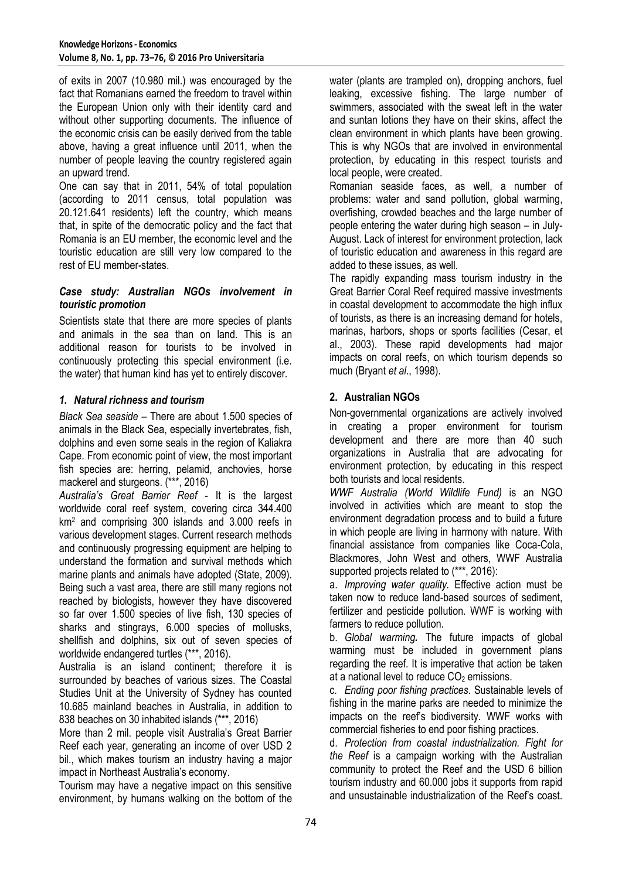of exits in 2007 (10.980 mil.) was encouraged by the fact that Romanians earned the freedom to travel within the European Union only with their identity card and without other supporting documents. The influence of the economic crisis can be easily derived from the table above, having a great influence until 2011, when the number of people leaving the country registered again an upward trend.

One can say that in 2011, 54% of total population (according to 2011 census, total population was 20.121.641 residents) left the country, which means that, in spite of the democratic policy and the fact that Romania is an EU member, the economic level and the touristic education are still very low compared to the rest of EU member-states.

#### *Case study: Australian NGOs involvement in touristic promotion*

Scientists state that there are more species of plants and animals in the sea than on land. This is an additional reason for tourists to be involved in continuously protecting this special environment (i.e. the water) that human kind has yet to entirely discover.

## *1. Natural richness and tourism*

*Black Sea seaside* – There are about 1.500 species of animals in the Black Sea, especially invertebrates, fish, dolphins and even some seals in the region of Kaliakra Cape. From economic point of view, the most important fish species are: herring, pelamid, anchovies, horse mackerel and sturgeons. (\*\*\*, 2016)

*Australia's Great Barrier Reef* - It is the largest worldwide coral reef system, covering circa 344.400 km<sup>2</sup> and comprising 300 islands and 3.000 reefs in various development stages. Current research methods and continuously progressing equipment are helping to understand the formation and survival methods which marine plants and animals have adopted (State, 2009). Being such a vast area, there are still many regions not reached by biologists, however they have discovered so far over 1.500 species of live fish, 130 species of sharks and stingrays, 6.000 species of mollusks, shellfish and dolphins, six out of seven species of worldwide endangered turtles (\*\*\*, 2016).

Australia is an island continent; therefore it is surrounded by beaches of various sizes. The Coastal Studies Unit at the University of Sydney has counted 10.685 mainland beaches in Australia, in addition to 838 beaches on 30 inhabited islands (\*\*\*, 2016)

More than 2 mil. people visit Australia's Great Barrier Reef each year, generating an income of over USD 2 bil., which makes tourism an industry having a major impact in Northeast Australia's economy.

Tourism may have a negative impact on this sensitive environment, by humans walking on the bottom of the water (plants are trampled on), dropping anchors, fuel leaking, excessive fishing. The large number of swimmers, associated with the sweat left in the water and suntan lotions they have on their skins, affect the clean environment in which plants have been growing. This is why NGOs that are involved in environmental protection, by educating in this respect tourists and local people, were created.

Romanian seaside faces, as well, a number of problems: water and sand pollution, global warming, overfishing, crowded beaches and the large number of people entering the water during high season – in July-August. Lack of interest for environment protection, lack of touristic education and awareness in this regard are added to these issues, as well.

The rapidly expanding mass tourism industry in the Great Barrier Coral Reef required massive investments in coastal development to accommodate the high influx of tourists, as there is an increasing demand for hotels, marinas, harbors, shops or sports facilities (Cesar, et al., 2003). These rapid developments had major impacts on coral reefs, on which tourism depends so much (Bryant *et al*., 1998).

## **2. Australian NGOs**

Non-governmental organizations are actively involved in creating a proper environment for tourism development and there are more than 40 such organizations in Australia that are advocating for environment protection, by educating in this respect both tourists and local residents.

*WWF Australia (World Wildlife Fund)* is an NGO involved in activities which are meant to stop the environment degradation process and to build a future in which people are living in harmony with nature. With financial assistance from companies like Coca-Cola, Blackmores, John West and others, WWF Australia supported projects related to (\*\*\*, 2016):

a. *Improving water quality.* Effective action must be taken now to reduce land-based sources of sediment, fertilizer and pesticide pollution. WWF is working with farmers to reduce pollution.

b. *Global warming.* The future impacts of global warming must be included in government plans regarding the reef. It is imperative that action be taken at a national level to reduce  $CO<sub>2</sub>$  emissions.

c. *Ending poor fishing practices*. Sustainable levels of fishing in the marine parks are needed to minimize the impacts on the reef's biodiversity. WWF works with commercial fisheries to end poor fishing practices.

d. *Protection from coastal industrialization. Fight for the Reef* is a campaign working with the Australian community to protect the Reef and the USD 6 billion tourism industry and 60.000 jobs it supports from rapid and unsustainable industrialization of the Reef's coast.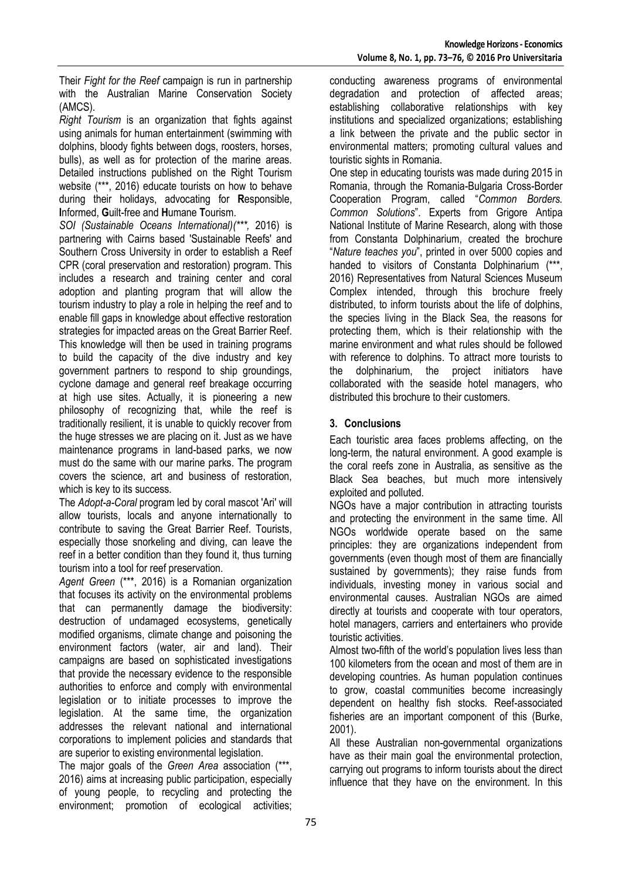Their *Fight for the Reef* campaign is run in partnership with the Australian Marine Conservation Society (AMCS).

*Right Tourism* is an organization that fights against using animals for human entertainment (swimming with dolphins, bloody fights between dogs, roosters, horses, bulls), as well as for protection of the marine areas. Detailed instructions published on the Right Tourism website (\*\*\*, 2016) educate tourists on how to behave during their holidays, advocating for **R**esponsible, **I**nformed, **G**uilt-free and **H**umane **T**ourism.

*SOI (Sustainable Oceans International)(\*\*\*,* 2016) is partnering with Cairns based 'Sustainable Reefs' and Southern Cross University in order to establish a Reef CPR (coral preservation and restoration) program. This includes a research and training center and coral adoption and planting program that will allow the tourism industry to play a role in helping the reef and to enable fill gaps in knowledge about effective restoration strategies for impacted areas on the Great Barrier Reef. This knowledge will then be used in training programs to build the capacity of the dive industry and key government partners to respond to ship groundings, cyclone damage and general reef breakage occurring at high use sites. Actually, it is pioneering a new philosophy of recognizing that, while the reef is traditionally resilient, it is unable to quickly recover from the huge stresses we are placing on it. Just as we have maintenance programs in land-based parks, we now must do the same with our marine parks. The program covers the science, art and business of restoration, which is key to its success.

The *Adopt-a-Coral* program led by coral mascot 'Ari' will allow tourists, locals and anyone internationally to contribute to saving the Great Barrier Reef. Tourists, especially those snorkeling and diving, can leave the reef in a better condition than they found it, thus turning tourism into a tool for reef preservation.

*Agent Green* (\*\*\*, 2016) is a Romanian organization that focuses its activity on the environmental problems that can permanently damage the biodiversity: destruction of undamaged ecosystems, genetically modified organisms, climate change and poisoning the environment factors (water, air and land). Their campaigns are based on sophisticated investigations that provide the necessary evidence to the responsible authorities to enforce and comply with environmental legislation or to initiate processes to improve the legislation. At the same time, the organization addresses the relevant national and international corporations to implement policies and standards that are superior to existing environmental legislation.

The major goals of the *Green Area* association (\*\*\*, 2016) aims at increasing public participation, especially of young people, to recycling and protecting the environment; promotion of ecological activities;

conducting awareness programs of environmental degradation and protection of affected areas; establishing collaborative relationships with key institutions and specialized organizations; establishing a link between the private and the public sector in environmental matters; promoting cultural values and touristic sights in Romania.

One step in educating tourists was made during 2015 in Romania, through the Romania-Bulgaria Cross-Border Cooperation Program, called "*Common Borders. Common Solutions*". Experts from Grigore Antipa National Institute of Marine Research, along with those from Constanta Dolphinarium, created the brochure "*Nature teaches you*", printed in over 5000 copies and handed to visitors of Constanta Dolphinarium (\*\*\*, 2016) Representatives from Natural Sciences Museum Complex intended, through this brochure freely distributed, to inform tourists about the life of dolphins, the species living in the Black Sea, the reasons for protecting them, which is their relationship with the marine environment and what rules should be followed with reference to dolphins. To attract more tourists to the dolphinarium, the project initiators have collaborated with the seaside hotel managers, who distributed this brochure to their customers.

## **3. Conclusions**

Each touristic area faces problems affecting, on the long-term, the natural environment. A good example is the coral reefs zone in Australia, as sensitive as the Black Sea beaches, but much more intensively exploited and polluted.

NGOs have a major contribution in attracting tourists and protecting the environment in the same time. All NGOs worldwide operate based on the same principles: they are organizations independent from governments (even though most of them are financially sustained by governments); they raise funds from individuals, investing money in various social and environmental causes. Australian NGOs are aimed directly at tourists and cooperate with tour operators, hotel managers, carriers and entertainers who provide touristic activities.

Almost two-fifth of the world's population lives less than 100 kilometers from the ocean and most of them are in developing countries. As human population continues to grow, coastal communities become increasingly dependent on healthy fish stocks. Reef-associated fisheries are an important component of this (Burke, 2001).

All these Australian non-governmental organizations have as their main goal the environmental protection, carrying out programs to inform tourists about the direct influence that they have on the environment. In this